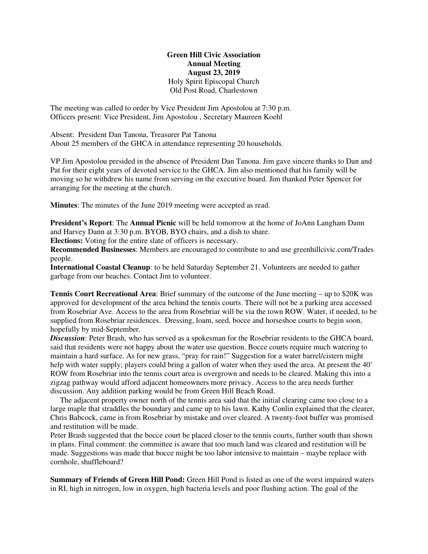## **Green Hill Civic Association Annual Meeting August 23, 2019** Holy Spirit Episcopal Church Old Post Road, Charlestown

The meeting was called to order by Vice President Jim Apostolou at 7:30 p.m. Officers present: Vice President, Jim Apostolou , Secretary Maureen Koehl

Absent: President Dan Tanona, Treasurer Pat Tanona About 25 members of the GHCA in attendance representing 20 households.

VP Jim Apostolou presided in the absence of President Dan Tanona. Jim gave sincere thanks to Dan and Pat for their eight years of devoted service to the GHCA. Jim also mentioned that his family will be moving so he withdrew his name from serving on the executive board. Jim thanked Peter Spencer for arranging for the meeting at the church.

**Minutes**: The minutes of the June 2019 meeting were accepted as read.

**President's Report**: The **Annual Picnic** will be held tomorrow at the home of JoAnn Langham Dann and Harvey Dann at 3:30 p.m. BYOB, BYO chairs, and a dish to share.

**Elections:** Voting for the entire slate of officers is necessary.

**Recommended Businesses**: Members are encouraged to contribute to and use greenhillcivic.com/Trades people.

**International Coastal Cleanup**: to be held Saturday September 21. Volunteers are needed to gather garbage from our beaches. Contact Jim to volunteer.

**Tennis Court Recreational Area**: Brief summary of the outcome of the June meeting – up to \$20K was approved for development of the area behind the tennis courts. There will not be a parking area accessed from Rosebriar Ave. Access to the area from Rosebriar will be via the town ROW. Water, if needed, to be supplied from Rosebriar residences. Dressing, loam, seed, bocce and horseshoe courts to begin soon, hopefully by mid-September.

*Discussion*: Peter Brash, who has served as a spokesman for the Rosebriar residents to the GHCA board, said that residents were not happy about the water use question. Bocce courts require much watering to maintain a hard surface. As for new grass, "pray for rain!" Suggestion for a water barrel/cistern might help with water supply; players could bring a gallon of water when they used the area. At present the 40' ROW from Rosebriar into the tennis court area is overgrown and needs to be cleared. Making this into a zigzag pathway would afford adjacent homeowners more privacy. Access to the area needs further discussion. Any addition parking would be from Green Hill Beach Road.

 The adjacent property owner north of the tennis area said that the initial clearing came too close to a large maple that straddles the boundary and came up to his lawn. Kathy Conlin explained that the clearer, Chris Babcock, came in from Rosebriar by mistake and over cleared. A twenty-foot buffer was promised and restitution will be made.

Peter Brash suggested that the bocce court be placed closer to the tennis courts, further south than shown in plans. Final comment: the committee is aware that too much land was cleared and restitution will be made. Suggestions was made that bocce might be too labor intensive to maintain – maybe replace with cornhole, shuffleboard?

**Summary of Friends of Green Hill Pond:** Green Hill Pond is listed as one of the worst impaired waters in RI, high in nitrogen, low in oxygen, high bacteria levels and poor flushing action. The goal of the